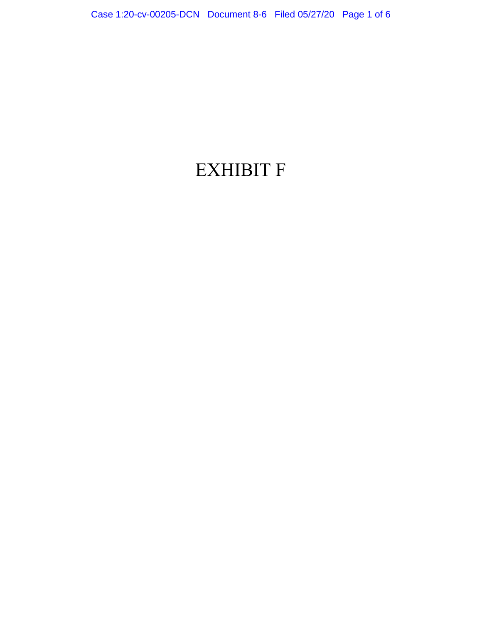# EXHIBIT F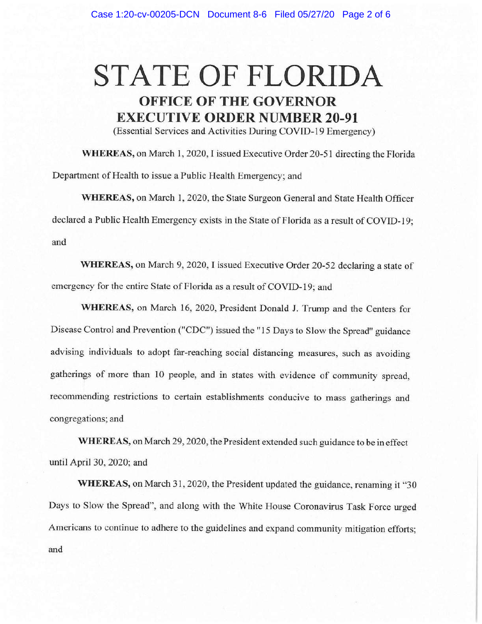# **STATE OF FLORIDA OFFICE OF THE GOVERNOR EXECUTIVE ORDER NUMBER 20-91**

(Essential Services and Activities During COVID-19 Emergency)

**WHEREAS,** on March 1, 2020, I issued Executive Order 20-51 directing the Florida Department of Health to issue a Public Health Emergency; and

**WHEREAS,** on March 1, 2020, the State Surgeon General and State Health Officer declared a Public Health Emergency exists in the State of Florida as a result of COVID-19; and

**WHEREAS,** on March 9, 2020, I issued Executive Order 20-52 declaring a state of emergency for the entire State of Florida as a result of COVID-19; and

**WHEREAS,** on March 16, 2020, President Donald J. Trump and the Centers for Disease Control and Prevention ("CDC") issued the "15 Days to Slow the Spread" guidance advising individuals to adopt far-reaching social distancing measures, such as avoiding gatherings of more than 10 people, and in states with evidence of community spread, recommending restrictions to certain establishments conducive to mass gatherings and congregations; and

**WHEREAS,** on March 29, 2020, the President extended such guidance to be in effect until April 30, 2020; and

**WHEREAS,** on March 31, 2020, the President updated the guidance, renaming it "30 Days to Slow the Spread", and along with the White House Coronavirus Task Force urged Americans to continue to adhere to the guidelines and expand community mitigation efforts; and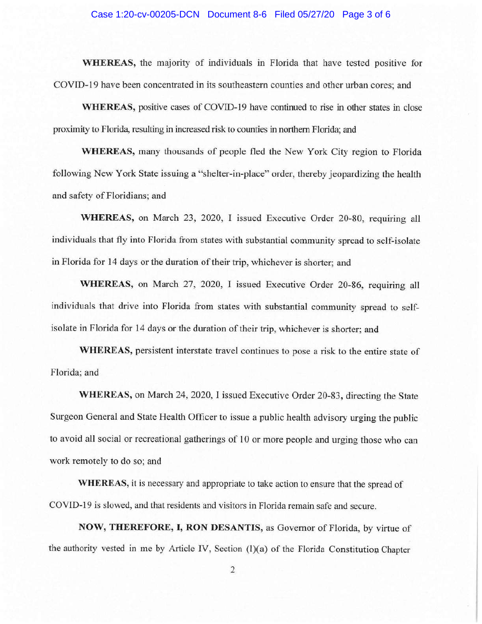#### Case 1:20-cv-00205-DCN Document 8-6 Filed 05/27/20 Page 3 of 6

**WHEREAS,** the majority of individuals in Florida that have tested positive for COVID-19 have been concentrated in its southeastern counties and other urban cores; and

**WHEREAS,** positive cases of COVID-19 have continued to rise in other states in close proximity to Florida, resulting in increased risk to counties in northern Florida; and

**WHEREAS,** many thousands of people fled the New York City region to Florida following New York State issuing a "shelter-in-place" order, thereby jeopardizing the health and safety of Floridians; and

**WHEREAS,** on March 23, 2020, I issued Executive Order 20-80, requiring all individuals that fly into Florida from states with substantial community spread to self-isolate in Florida for 14 days or the duration of their trip, whichever is shorter; and

**WHEREAS,** on March 27, 2020, I issued Executive Order 20-86, requiring all individuals that drive into Florida from states with substantial community spread to selfisolate in Florida for 14 days or the duration of their trip, whichever is shorter; and

**WHEREAS,** persistent interstate travel continues to pose a risk to the entire state of Florida; and

**WHEREAS,** on March 24, 2020, I issued Executive Order 20-83, directing the State Surgeon General and State Health Officer to issue a public health advisory urging the public to avoid all social or recreational gatherings of 10 or more people and urging those who can work remotely to do so; and

**WHEREAS,** it is necessary and appropriate to take action to ensure that the spread of COVID-19 is slowed, and that residents and visitors in Florida remain safe and secure.

**NOW, THEREFORE,** I, **RON DESANTIS,** as Governor of Florida, by virtue of the authority vested in me by Article IV, Section  $(l)(a)$  of the Florida Constitution Chapter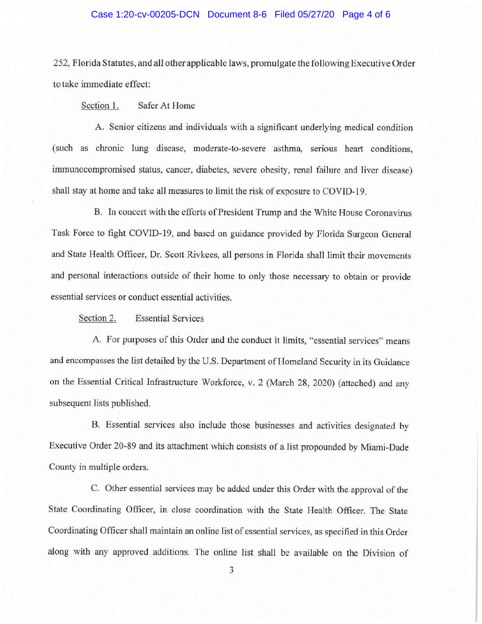### Case 1:20-cv-00205-DCN Document 8-6 Filed 05/27/20 Page 4 of 6

252, Florida Statutes, and all other applicable laws, promulgate the following Executive Order to take immediate effect:

Section 1. Safer At Home

A. Senior citizens and individuals with a significant underlying medical condition (such as chronic lung disease, moderate-to-severe asthma, serious heart conditions, immunocompromised status, cancer, diabetes, severe obesity, renal failure and liver disease) shall stay at home and take all measures to limit the risk of exposure to COVID-19.

B. In concert with the efforts of President Trump and the White House Coronavirus Task Force to fight COVID-19, and based on guidance provided by Florida Surgeon General and State Health Officer, Dr. Scott Rivkees, all persons in Florida shall limit their movements and personal interactions outside of their home to only those necessary to obtain or provide essential services or conduct essential activities.

Section 2. Essential Services

A. For purposes of this Order and the conduct it limits, "essential services" means and encompasses the list detailed by the U.S. Department of Homeland Security in its Guidance on the Essential Critical Infrastructure Workforce, v. 2 (March 28, 2020) (attached) and any subsequent lists published.

B. Essential services also include those businesses and activities designated by Executive Order 20-89 and its attachment which consists of a list propounded by Miami-Dade County in multiple orders.

C. Other essential services may be added under this Order with the approval of the State Coordinating Officer, in close coordination with the State Health Officer. The State Coordinating Officer shall maintain an online list of essential services, as specified in this Order along with any approved additions. The online list shall be available on the Division of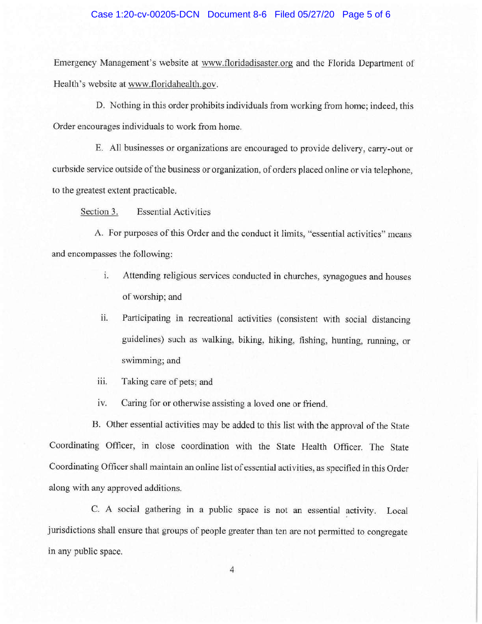### Case 1:20-cv-00205-DCN Document 8-6 Filed 05/27/20 Page 5 of 6

Emergency Management's website at www.floridadisaster.org and the Florida Department of Health's website at www.floridahealth.gov.

D. Nothing in this order prohibits individuals from working from home; indeed, this Order encourages individuals to work from home.

E. All businesses or organizations are encouraged to provide delivery, carry-out or curbside service outside of the business or organization, of orders placed online or via telephone, to the greatest extent practicable.

Section 3. Essential Activities

A. For purposes of this Order and the conduct it limits, "essential activities" means and encompasses the following:

- 1. Attending religious services conducted in churches, synagogues and houses of worship; and
- ii. Participating in recreational activities (consistent with social distancing guidelines) such as walking, biking, hiking, fishing, hunting, running, or swimming; and
- iii. Taking care of pets; and
- iv. Caring for or otherwise assisting a loved one or friend.

B. Other essential activities may be added to this list with the approval of the State Coordinating Officer, in close coordination with the State Health Officer. The State Coordinating Officer shall maintain an online list of essential activities, as specified in this Order along with any approved additions.

C. A social gathering in a public space is not an essential activity. Local jurisdictions shall ensure that groups of people greater than ten are not permitted to congregate in any public space.